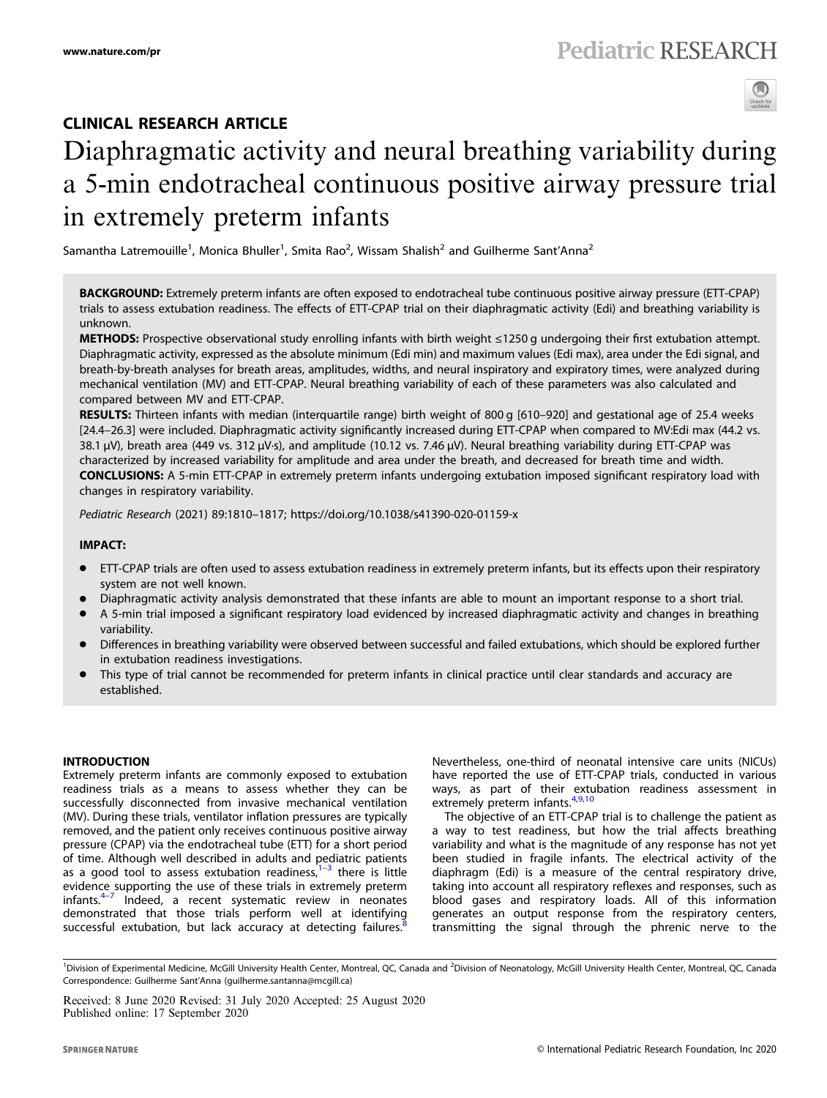# CLINICAL RESEARCH ARTICLE Diaphragmatic activity and neural breathing variability during a 5-min endotracheal continuous positive airway pressure trial in extremely preterm infants

Samantha Latremouille<sup>1</sup>, Monica Bhuller<sup>1</sup>, Smita Rao<sup>2</sup>, Wissam Shalish<sup>2</sup> and Guilherme Sant'Anna<sup>2</sup>

BACKGROUND: Extremely preterm infants are often exposed to endotracheal tube continuous positive airway pressure (ETT-CPAP) trials to assess extubation readiness. The effects of ETT-CPAP trial on their diaphragmatic activity (Edi) and breathing variability is unknown.

METHODS: Prospective observational study enrolling infants with birth weight ≤1250 g undergoing their first extubation attempt. Diaphragmatic activity, expressed as the absolute minimum (Edi min) and maximum values (Edi max), area under the Edi signal, and breath-by-breath analyses for breath areas, amplitudes, widths, and neural inspiratory and expiratory times, were analyzed during mechanical ventilation (MV) and ETT-CPAP. Neural breathing variability of each of these parameters was also calculated and compared between MV and ETT-CPAP.

RESULTS: Thirteen infants with median (interquartile range) birth weight of 800 g [610–920] and gestational age of 25.4 weeks [24.4–26.3] were included. Diaphragmatic activity significantly increased during ETT-CPAP when compared to MV:Edi max (44.2 vs. 38.1 μV), breath area (449 vs. 312 μV·s), and amplitude (10.12 vs. 7.46 μV). Neural breathing variability during ETT-CPAP was characterized by increased variability for amplitude and area under the breath, and decreased for breath time and width. CONCLUSIONS: A 5-min ETT-CPAP in extremely preterm infants undergoing extubation imposed significant respiratory load with changes in respiratory variability.

Pediatric Research (2021) 89:1810–1817; https://doi.org/10.1038/s41390-020-01159-x

# IMPACT:

- ETT-CPAP trials are often used to assess extubation readiness in extremely preterm infants, but its effects upon their respiratory system are not well known.
- Diaphragmatic activity analysis demonstrated that these infants are able to mount an important response to a short trial.
- A 5-min trial imposed a significant respiratory load evidenced by increased diaphragmatic activity and changes in breathing variability.
- Differences in breathing variability were observed between successful and failed extubations, which should be explored further in extubation readiness investigations.
- This type of trial cannot be recommended for preterm infants in clinical practice until clear standards and accuracy are established.

# INTRODUCTION

Extremely preterm infants are commonly exposed to extubation readiness trials as a means to assess whether they can be successfully disconnected from invasive mechanical ventilation (MV). During these trials, ventilator inflation pressures are typically removed, and the patient only receives continuous positive airway pressure (CPAP) via the endotracheal tube (ETT) for a short period of time. Although well described in adults and pediatric patients as a good tool to assess extubation readiness, $1-3$  $1-3$  there is little evidence supporting the use of these trials in extremely preterm infants[.4](#page-6-0)–[7](#page-6-0) Indeed, a recent systematic review in neonates demonstrated that those trials perform well at identifying successful extubation, but lack accuracy at detecting failures.<sup>[8](#page-6-0)</sup>

Nevertheless, one-third of neonatal intensive care units (NICUs) have reported the use of ETT-CPAP trials, conducted in various ways, as part of their extubation readiness assessment in extremely preterm infants.<sup>[4,9,10](#page-6-0)</sup>

The objective of an ETT-CPAP trial is to challenge the patient as a way to test readiness, but how the trial affects breathing variability and what is the magnitude of any response has not yet been studied in fragile infants. The electrical activity of the diaphragm (Edi) is a measure of the central respiratory drive, taking into account all respiratory reflexes and responses, such as blood gases and respiratory loads. All of this information generates an output response from the respiratory centers, transmitting the signal through the phrenic nerve to the

<sup>&</sup>lt;sup>1</sup> Division of Experimental Medicine, McGill University Health Center, Montreal, QC, Canada and <sup>2</sup>Division of Neonatology, McGill University Health Center, Montreal, QC, Canada Correspondence: Guilherme Sant'Anna ([guilherme.santanna@mcgill.ca\)](mailto:guilherme.santanna@mcgill.ca)

Received: 8 June 2020 Revised: 31 July 2020 Accepted: 25 August 2020 Published online: 17 September 2020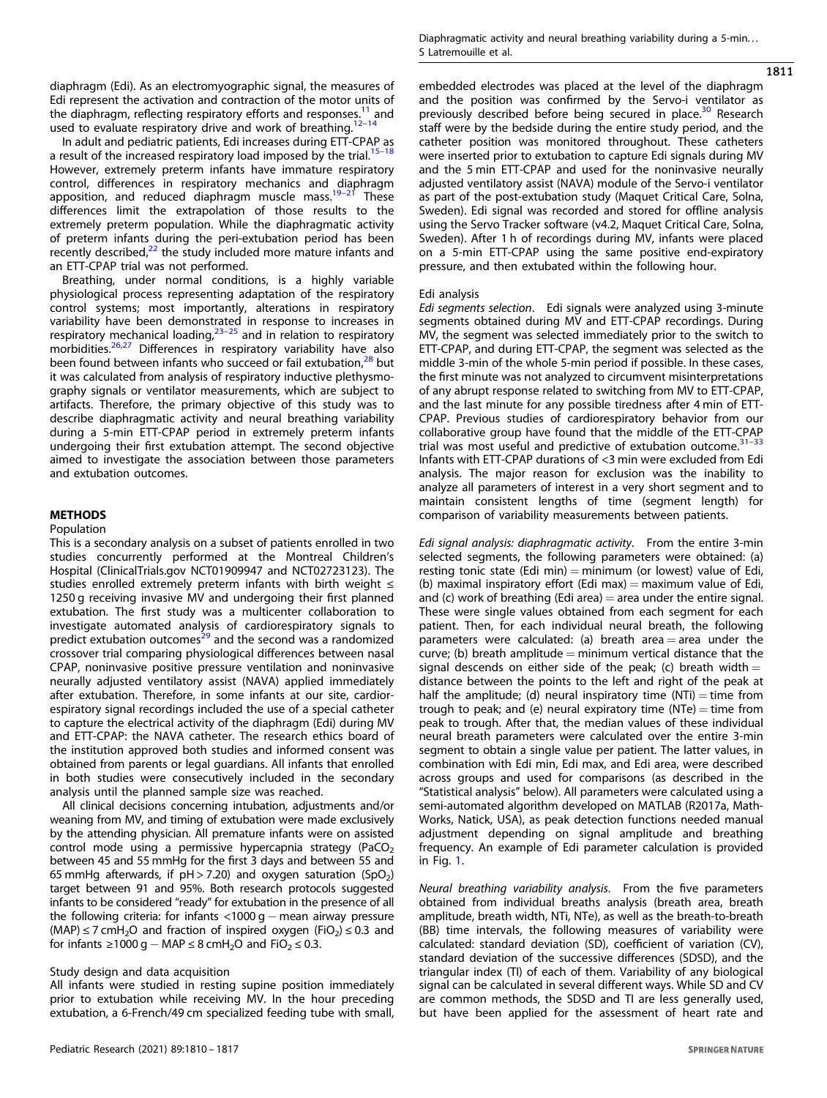diaphragm (Edi). As an electromyographic signal, the measures of Edi represent the activation and contraction of the motor units of the diaphragm, reflecting respiratory efforts and responses.<sup>[11](#page-6-0)</sup> and used to evaluate respiratory drive and work of breathing.<sup>[12](#page-6-0)–[14](#page-6-0)</sup>

In adult and pediatric patients, Edi increases during ETT-CPAP as a result of the increased respiratory load imposed by the trial.<sup>[15](#page-6-0)-[18](#page-6-0)</sup> However, extremely preterm infants have immature respiratory control, differences in respiratory mechanics and diaphragm apposition, and reduced diaphragm muscle mass.<sup>[19](#page-6-0)–[21](#page-6-0)</sup> These differences limit the extrapolation of those results to the extremely preterm population. While the diaphragmatic activity of preterm infants during the peri-extubation period has been recently described, $^{22}$  $^{22}$  $^{22}$  the study included more mature infants and an ETT-CPAP trial was not performed.

Breathing, under normal conditions, is a highly variable physiological process representing adaptation of the respiratory control systems; most importantly, alterations in respiratory variability have been demonstrated in response to increases in respiratory mechanical loading, $23-25$  $23-25$  $23-25$  and in relation to respiratory morbidities.<sup>[26,27](#page-6-0)</sup> Differences in respiratory variability have also been found between infants who succeed or fail extubation,<sup>[28](#page-6-0)</sup> but it was calculated from analysis of respiratory inductive plethysmography signals or ventilator measurements, which are subject to artifacts. Therefore, the primary objective of this study was to describe diaphragmatic activity and neural breathing variability during a 5-min ETT-CPAP period in extremely preterm infants undergoing their first extubation attempt. The second objective aimed to investigate the association between those parameters and extubation outcomes.

## METHODS

#### Population

This is a secondary analysis on a subset of patients enrolled in two studies concurrently performed at the Montreal Children's Hospital (ClinicalTrials.gov NCT01909947 and NCT02723123). The studies enrolled extremely preterm infants with birth weight ≤ 1250 g receiving invasive MV and undergoing their first planned extubation. The first study was a multicenter collaboration to investigate automated analysis of cardiorespiratory signals to predict extubation outcomes<sup>[29](#page-7-0)</sup> and the second was a randomized crossover trial comparing physiological differences between nasal CPAP, noninvasive positive pressure ventilation and noninvasive neurally adjusted ventilatory assist (NAVA) applied immediately after extubation. Therefore, in some infants at our site, cardiorespiratory signal recordings included the use of a special catheter to capture the electrical activity of the diaphragm (Edi) during MV and ETT-CPAP: the NAVA catheter. The research ethics board of the institution approved both studies and informed consent was obtained from parents or legal guardians. All infants that enrolled in both studies were consecutively included in the secondary analysis until the planned sample size was reached.

All clinical decisions concerning intubation, adjustments and/or weaning from MV, and timing of extubation were made exclusively by the attending physician. All premature infants were on assisted control mode using a permissive hypercapnia strategy (PaCO $_2$ ) between 45 and 55 mmHg for the first 3 days and between 55 and 65 mmHg afterwards, if  $pH > 7.20$ ) and oxygen saturation (SpO<sub>2</sub>) target between 91 and 95%. Both research protocols suggested infants to be considered "ready" for extubation in the presence of all the following criteria: for infants <1000 g − mean airway pressure (MAP)  $\leq$  7 cmH<sub>2</sub>O and fraction of inspired oxygen (FiO<sub>2</sub>)  $\leq$  0.3 and for infants  $≥1000$  g – MAP ≤ 8 cmH<sub>2</sub>O and FiO<sub>2</sub> ≤ 0.3.

#### Study design and data acquisition

All infants were studied in resting supine position immediately prior to extubation while receiving MV. In the hour preceding extubation, a 6-French/49 cm specialized feeding tube with small, Diaphragmatic activity and neural breathing variability during a 5-min. . . S Latremouille et al.

1811

embedded electrodes was placed at the level of the diaphragm and the position was confirmed by the Servo-i ventilator as previously described before being secured in place.<sup>[30](#page-7-0)</sup> Research staff were by the bedside during the entire study period, and the catheter position was monitored throughout. These catheters were inserted prior to extubation to capture Edi signals during MV and the 5 min ETT-CPAP and used for the noninvasive neurally adjusted ventilatory assist (NAVA) module of the Servo-i ventilator as part of the post-extubation study (Maquet Critical Care, Solna, Sweden). Edi signal was recorded and stored for offline analysis using the Servo Tracker software (v4.2, Maquet Critical Care, Solna, Sweden). After 1 h of recordings during MV, infants were placed on a 5-min ETT-CPAP using the same positive end-expiratory pressure, and then extubated within the following hour.

#### Edi analysis

Edi segments selection. Edi signals were analyzed using 3-minute segments obtained during MV and ETT-CPAP recordings. During MV, the segment was selected immediately prior to the switch to ETT-CPAP, and during ETT-CPAP, the segment was selected as the middle 3-min of the whole 5-min period if possible. In these cases, the first minute was not analyzed to circumvent misinterpretations of any abrupt response related to switching from MV to ETT-CPAP, and the last minute for any possible tiredness after 4 min of ETT-CPAP. Previous studies of cardiorespiratory behavior from our collaborative group have found that the middle of the ETT-CPAP trial was most useful and predictive of extubation outcome.<sup>3</sup> Infants with ETT-CPAP durations of <3 min were excluded from Edi analysis. The major reason for exclusion was the inability to analyze all parameters of interest in a very short segment and to maintain consistent lengths of time (segment length) for comparison of variability measurements between patients.

Edi signal analysis: diaphragmatic activity. From the entire 3-min selected segments, the following parameters were obtained: (a) resting tonic state (Edi min) = minimum (or lowest) value of Edi, (b) maximal inspiratory effort (Edi max)  $=$  maximum value of Edi, and (c) work of breathing (Edi area) = area under the entire signal. These were single values obtained from each segment for each patient. Then, for each individual neural breath, the following parameters were calculated: (a) breath area  $=$  area under the curve; (b) breath amplitude  $=$  minimum vertical distance that the signal descends on either side of the peak; (c) breath width  $=$ distance between the points to the left and right of the peak at half the amplitude; (d) neural inspiratory time  $(NTi) =$  time from trough to peak; and (e) neural expiratory time  $(NTe) =$  time from peak to trough. After that, the median values of these individual neural breath parameters were calculated over the entire 3-min segment to obtain a single value per patient. The latter values, in combination with Edi min, Edi max, and Edi area, were described across groups and used for comparisons (as described in the "Statistical analysis" below). All parameters were calculated using a semi-automated algorithm developed on MATLAB (R2017a, Math-Works, Natick, USA), as peak detection functions needed manual adjustment depending on signal amplitude and breathing frequency. An example of Edi parameter calculation is provided in Fig. [1.](#page-2-0)

Neural breathing variability analysis. From the five parameters obtained from individual breaths analysis (breath area, breath amplitude, breath width, NTi, NTe), as well as the breath-to-breath (BB) time intervals, the following measures of variability were calculated: standard deviation (SD), coefficient of variation (CV), standard deviation of the successive differences (SDSD), and the triangular index (TI) of each of them. Variability of any biological signal can be calculated in several different ways. While SD and CV are common methods, the SDSD and TI are less generally used, but have been applied for the assessment of heart rate and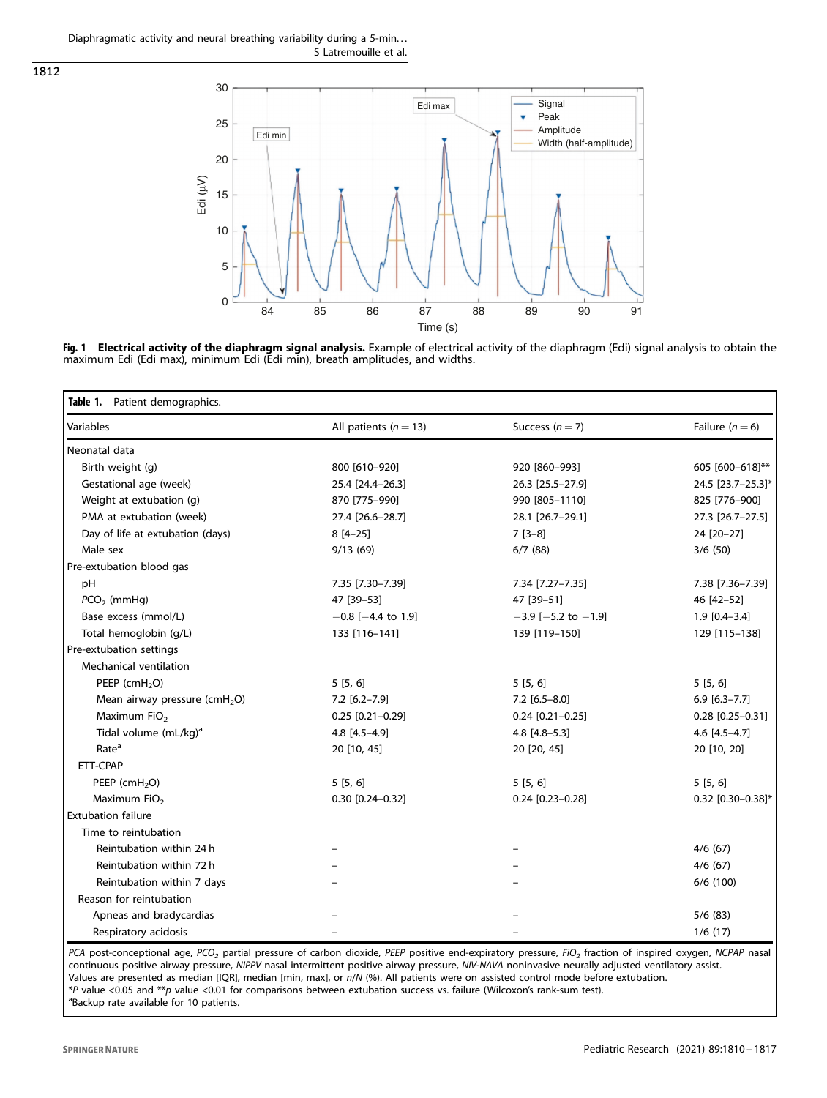Diaphragmatic activity and neural breathing variability during a 5-min. . . S Latremouille et al.

<span id="page-2-0"></span>



Fig. 1 Electrical activity of the diaphragm signal analysis. Example of electrical activity of the diaphragm (Edi) signal analysis to obtain the maximum Edi (Edi max), minimum Edi (Edi min), breath amplitudes, and widths.

| Table 1. Patient demographics.            |                           |                             |                        |  |
|-------------------------------------------|---------------------------|-----------------------------|------------------------|--|
| <b>Variables</b>                          | All patients ( $n = 13$ ) | Success $(n=7)$             | Failure $(n=6)$        |  |
| Neonatal data                             |                           |                             |                        |  |
| Birth weight (g)                          | 800 [610-920]             | 920 [860-993]               | 605 [600-618]**        |  |
| Gestational age (week)                    | 25.4 [24.4-26.3]          | 26.3 [25.5-27.9]            | 24.5 [23.7-25.3]*      |  |
| Weight at extubation (g)                  | 870 [775-990]             | 990 [805-1110]              | 825 [776-900]          |  |
| PMA at extubation (week)                  | 27.4 [26.6-28.7]          | 28.1 [26.7-29.1]            | 27.3 [26.7-27.5]       |  |
| Day of life at extubation (days)          | $8[4-25]$                 | $7 [3-8]$                   | 24 [20-27]             |  |
| Male sex                                  | 9/13(69)                  | 6/7(88)                     | 3/6(50)                |  |
| Pre-extubation blood gas                  |                           |                             |                        |  |
| pH                                        | 7.35 [7.30-7.39]          | 7.34 [7.27-7.35]            | 7.38 [7.36-7.39]       |  |
| $PCO2$ (mmHg)                             | 47 [39-53]                | 47 [39-51]                  | 46 [42-52]             |  |
| Base excess (mmol/L)                      | $-0.8$ [ $-4.4$ to 1.9]   | $-3.9$ [ $-5.2$ to $-1.9$ ] | $1.9$ [0.4-3.4]        |  |
| Total hemoglobin (g/L)                    | 133 [116-141]             | 139 [119-150]               | 129 [115-138]          |  |
| Pre-extubation settings                   |                           |                             |                        |  |
| <b>Mechanical ventilation</b>             |                           |                             |                        |  |
| PEEP (cmH <sub>2</sub> O)                 | 5[5, 6]                   | 5[5, 6]                     | 5[5, 6]                |  |
| Mean airway pressure (cmH <sub>2</sub> O) | 7.2 [6.2-7.9]             | $7.2$ [6.5-8.0]             | $6.9$ [6.3-7.7]        |  |
| Maximum FiO <sub>2</sub>                  | $0.25$ [0.21-0.29]        | $0.24$ [0.21-0.25]          | $0.28$ [0.25-0.31]     |  |
| Tidal volume (mL/kg) <sup>a</sup>         | $4.8$ [4.5-4.9]           | $4.8$ [ $4.8 - 5.3$ ]       | $4.6$ [4.5-4.7]        |  |
| Rate <sup>a</sup>                         | 20 [10, 45]               | 20 [20, 45]                 | 20 [10, 20]            |  |
| ETT-CPAP                                  |                           |                             |                        |  |
| PEEP (cmH <sub>2</sub> O)                 | 5[5, 6]                   | 5[5, 6]                     | 5[5, 6]                |  |
| Maximum FiO <sub>2</sub>                  | $0.30$ [0.24-0.32]        | $0.24$ [0.23-0.28]          | 0.32 $[0.30 - 0.38]$ * |  |
| <b>Extubation failure</b>                 |                           |                             |                        |  |
| Time to reintubation                      |                           |                             |                        |  |
| Reintubation within 24 h                  |                           |                             | 4/6(67)                |  |
| Reintubation within 72 h                  |                           |                             | 4/6(67)                |  |
| Reintubation within 7 days                |                           | $6/6$ (100)                 |                        |  |
| Reason for reintubation                   |                           |                             |                        |  |
| Apneas and bradycardias                   |                           |                             | 5/6(83)                |  |
| Respiratory acidosis                      |                           |                             | 1/6(17)                |  |

PCA post-conceptional age, PCO<sub>2</sub> partial pressure of carbon dioxide, PEEP positive end-expiratory pressure, FiO<sub>2</sub> fraction of inspired oxygen, NCPAP nasal continuous positive airway pressure, NIPPV nasal intermittent positive airway pressure, NIV-NAVA noninvasive neurally adjusted ventilatory assist. Values are presented as median [IQR], median [min, max], or n/N (%). All patients were on assisted control mode before extubation. \*<sup>P</sup> value <0.05 and \*\*<sup>p</sup> value <0.01 for comparisons between extubation success vs. failure (Wilcoxon's rank-sum test). <sup>a</sup> <sup>a</sup>Backup rate available for 10 patients.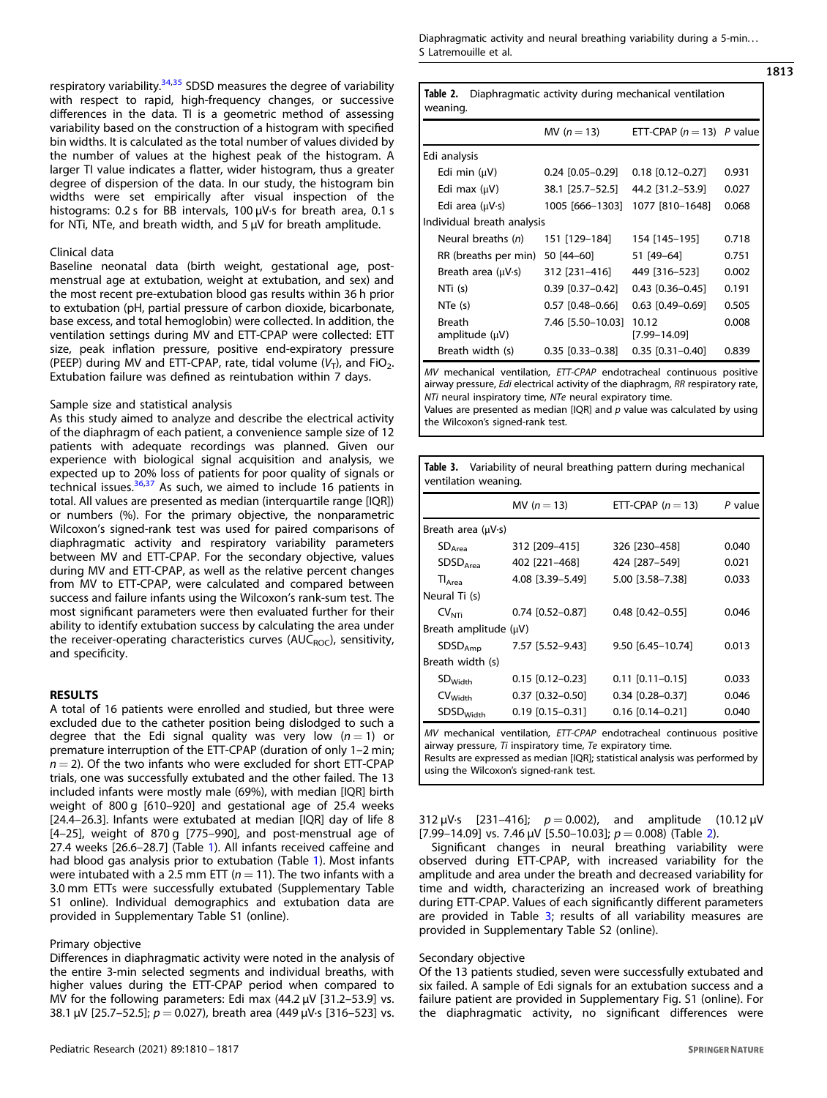respiratory variability.<sup>[34,35](#page-7-0)</sup> SDSD measures the degree of variability with respect to rapid, high-frequency changes, or successive differences in the data. TI is a geometric method of assessing variability based on the construction of a histogram with specified bin widths. It is calculated as the total number of values divided by the number of values at the highest peak of the histogram. A larger TI value indicates a flatter, wider histogram, thus a greater degree of dispersion of the data. In our study, the histogram bin widths were set empirically after visual inspection of the histograms: 0.2 s for BB intervals, 100 μV·s for breath area, 0.1 s for NTi, NTe, and breath width, and 5 μV for breath amplitude.

### Clinical data

Baseline neonatal data (birth weight, gestational age, postmenstrual age at extubation, weight at extubation, and sex) and the most recent pre-extubation blood gas results within 36 h prior to extubation (pH, partial pressure of carbon dioxide, bicarbonate, base excess, and total hemoglobin) were collected. In addition, the ventilation settings during MV and ETT-CPAP were collected: ETT size, peak inflation pressure, positive end-expiratory pressure (PEEP) during MV and ETT-CPAP, rate, tidal volume ( $V<sub>T</sub>$ ), and FiO<sub>2</sub>. Extubation failure was defined as reintubation within 7 days.

#### Sample size and statistical analysis

As this study aimed to analyze and describe the electrical activity of the diaphragm of each patient, a convenience sample size of 12 patients with adequate recordings was planned. Given our experience with biological signal acquisition and analysis, we expected up to 20% loss of patients for poor quality of signals or technical issues. $36,37$  $36,37$  $36,37$  As such, we aimed to include 16 patients in total. All values are presented as median (interquartile range [IQR]) or numbers (%). For the primary objective, the nonparametric Wilcoxon's signed-rank test was used for paired comparisons of diaphragmatic activity and respiratory variability parameters between MV and ETT-CPAP. For the secondary objective, values during MV and ETT-CPAP, as well as the relative percent changes from MV to ETT-CPAP, were calculated and compared between success and failure infants using the Wilcoxon's rank-sum test. The most significant parameters were then evaluated further for their ability to identify extubation success by calculating the area under the receiver-operating characteristics curves  $(AUC_{ROC})$ , sensitivity, and specificity.

#### RESULTS

A total of 16 patients were enrolled and studied, but three were excluded due to the catheter position being dislodged to such a degree that the Edi signal quality was very low  $(n = 1)$  or premature interruption of the ETT-CPAP (duration of only 1–2 min;  $n = 2$ ). Of the two infants who were excluded for short ETT-CPAP trials, one was successfully extubated and the other failed. The 13 included infants were mostly male (69%), with median [IQR] birth weight of 800 g [610–920] and gestational age of 25.4 weeks [24.4–26.3]. Infants were extubated at median [IQR] day of life 8 [4–25], weight of 870 g [775–990], and post-menstrual age of 27.4 weeks [26.6–28.7] (Table [1](#page-2-0)). All infants received caffeine and had blood gas analysis prior to extubation (Table [1](#page-2-0)). Most infants were intubated with a 2.5 mm ETT ( $n = 11$ ). The two infants with a 3.0 mm ETTs were successfully extubated (Supplementary Table S1 online). Individual demographics and extubation data are provided in Supplementary Table S1 (online).

#### Primary objective

Differences in diaphragmatic activity were noted in the analysis of the entire 3-min selected segments and individual breaths, with higher values during the ETT-CPAP period when compared to MV for the following parameters: Edi max (44.2 μV [31.2–53.9] vs. 38.1 μV [25.7–52.5];  $p = 0.027$ ), breath area (449 μV·s [316–523] vs. 1813

|          | Table 2. Diaphragmatic activity during mechanical ventilation |
|----------|---------------------------------------------------------------|
| weaning. |                                                               |

|                               | MV ( $n = 13$ )    | ETT-CPAP $(n = 13)$ P value |       |
|-------------------------------|--------------------|-----------------------------|-------|
| Edi analysis                  |                    |                             |       |
| Edi min $(\mu V)$             | $0.24$ [0.05-0.29] | $0.18$ [0.12-0.27]          | 0.931 |
| Edi max $(\mu V)$             | 38.1 [25.7-52.5]   | 44.2 [31.2-53.9]            | 0.027 |
| Edi area $(\mu V \cdot s)$    | 1005 [666-1303]    | 1077 [810-1648]             | 0.068 |
| Individual breath analysis    |                    |                             |       |
| Neural breaths (n)            | 151 [129–184]      | 154 [145–195]               | 0.718 |
| RR (breaths per min)          | 50 [44-60]         | 51 [49-64]                  | 0.751 |
| Breath area $(\mu V \cdot s)$ | 312 [231-416]      | 449 [316-523]               | 0.002 |
| NTi (s)                       | $0.39$ [0.37-0.42] | $0.43$ [0.36-0.45]          | 0.191 |
| NTe(s)                        | $0.57$ [0.48-0.66] | $0.63$ [0.49-0.69]          | 0.505 |
| Breath<br>amplitude $(\mu V)$ | 7.46 [5.50-10.03]  | 10.12<br>[7.99–14.09]       | 0.008 |
| Breath width (s)              | $0.35$ [0.33-0.38] | $0.35$ [0.31-0.40]          | 0.839 |

MV mechanical ventilation, ETT-CPAP endotracheal continuous positive airway pressure, Edi electrical activity of the diaphragm, RR respiratory rate, NTi neural inspiratory time, NTe neural expiratory time.

Values are presented as median [IQR] and  $p$  value was calculated by using the Wilcoxon's signed-rank test.

Table 3. Variability of neural breathing pattern during mechanical ventilation weaning.

|                               | MV ( $n = 13$ )        | ETT-CPAP $(n = 13)$                                                  | P value |  |
|-------------------------------|------------------------|----------------------------------------------------------------------|---------|--|
| Breath area $(\mu V \cdot s)$ |                        |                                                                      |         |  |
| SD <sub>Area</sub>            | 312 [209-415]          | 326 [230-458]                                                        | 0.040   |  |
| SDSD <sub>Area</sub>          | 402 [221-468]          | 424 [287-549]                                                        | 0.021   |  |
| T <sub>Area</sub>             | 4.08 [3.39-5.49]       | 5.00 [3.58-7.38]                                                     | 0.033   |  |
| Neural Ti (s)                 |                        |                                                                      |         |  |
| CV <sub>NTI</sub>             | $0.74$ [0.52-0.87]     | $0.48$ [0.42-0.55]                                                   | 0.046   |  |
| Breath amplitude $(\mu V)$    |                        |                                                                      |         |  |
| SDSD <sub>Amp</sub>           | 7.57 [5.52-9.43]       | 9.50 [6.45-10.74]                                                    | 0.013   |  |
| Breath width (s)              |                        |                                                                      |         |  |
| $SD_{Width}$                  | $0.15$ [0.12-0.23]     | $0.11$ [0.11-0.15]                                                   | 0.033   |  |
| CV <sub>width</sub>           | $0.37$ [0.32-0.50]     | $0.34$ [0.28-0.37]                                                   | 0.046   |  |
| <b>SDSD</b> width             | $0.19$ $[0.15 - 0.31]$ | $0.16$ [0.14-0.21]                                                   | 0.040   |  |
|                               |                        | MV mechanical ventilation, ETT-CPAP endotracheal continuous positive |         |  |

airway pressure, Ti inspiratory time, Te expiratory time. Results are expressed as median [IQR]; statistical analysis was performed by using the Wilcoxon's signed-rank test.

312 μV·s [231–416];  $p = 0.002$ ), and amplitude (10.12 μV [7.99–14.09] vs. 7.46 μV [5.50–10.03];  $p = 0.008$ ) (Table 2).

Significant changes in neural breathing variability were observed during ETT-CPAP, with increased variability for the amplitude and area under the breath and decreased variability for time and width, characterizing an increased work of breathing during ETT-CPAP. Values of each significantly different parameters are provided in Table 3; results of all variability measures are provided in Supplementary Table S2 (online).

#### Secondary objective

Of the 13 patients studied, seven were successfully extubated and six failed. A sample of Edi signals for an extubation success and a failure patient are provided in Supplementary Fig. S1 (online). For the diaphragmatic activity, no significant differences were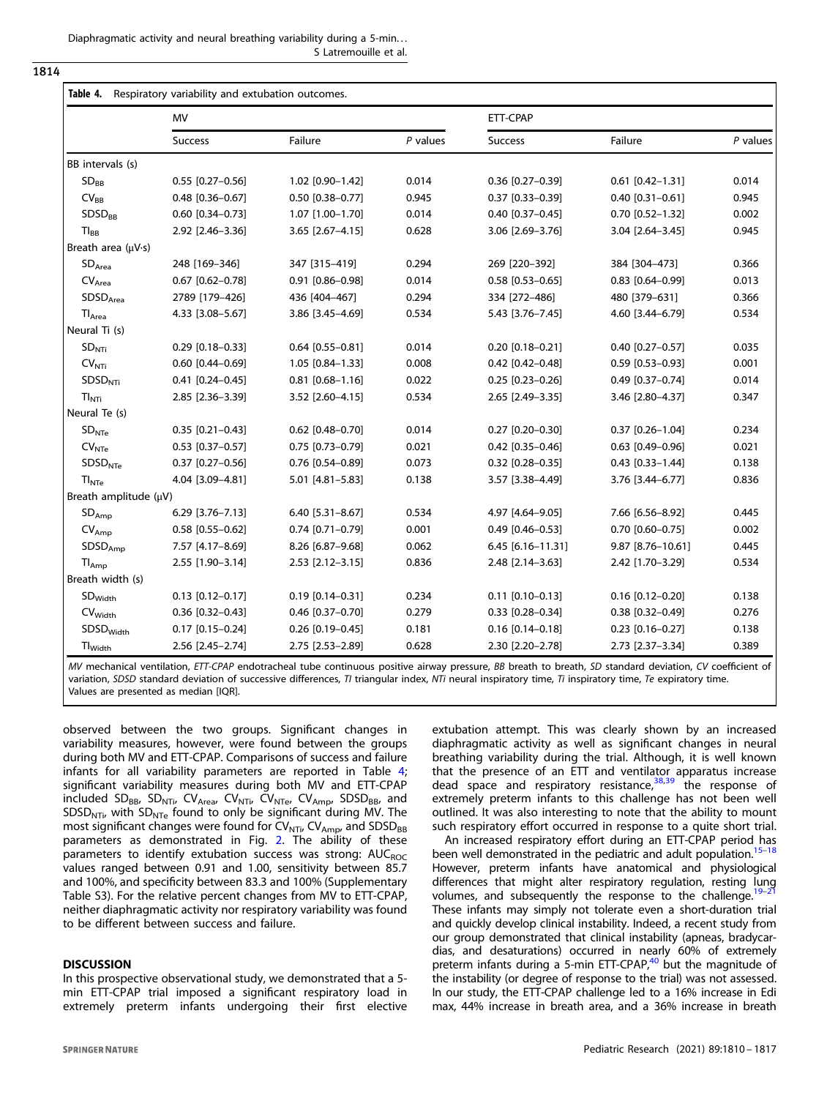1814

|                             | <b>MV</b>          |                    |            | ETT-CPAP               |                        |            |
|-----------------------------|--------------------|--------------------|------------|------------------------|------------------------|------------|
|                             | <b>Success</b>     | Failure            | $P$ values | <b>Success</b>         | Failure                | $P$ values |
| BB intervals (s)            |                    |                    |            |                        |                        |            |
| $SD_{BB}$                   | 0.55 [0.27-0.56]   | 1.02 [0.90-1.42]   | 0.014      | $0.36$ [0.27-0.39]     | $0.61$ [0.42-1.31]     | 0.014      |
| CV <sub>BB</sub>            | $0.48$ [0.36-0.67] | $0.50$ [0.38-0.77] | 0.945      | 0.37 [0.33-0.39]       | $0.40$ [0.31-0.61]     | 0.945      |
| <b>SDSD<sub>BB</sub></b>    | $0.60$ [0.34-0.73] | 1.07 [1.00-1.70]   | 0.014      | $0.40$ [0.37-0.45]     | $0.70$ [0.52-1.32]     | 0.002      |
| TI <sub>BB</sub>            | 2.92 [2.46-3.36]   | 3.65 [2.67-4.15]   | 0.628      | 3.06 [2.69-3.76]       | 3.04 [2.64-3.45]       | 0.945      |
| Breath area (µV·s)          |                    |                    |            |                        |                        |            |
| SD <sub>Area</sub>          | 248 [169-346]      | 347 [315-419]      | 0.294      | 269 [220-392]          | 384 [304-473]          | 0.366      |
| CV <sub>Area</sub>          | $0.67$ [0.62-0.78] | 0.91 [0.86-0.98]   | 0.014      | $0.58$ [0.53-0.65]     | $0.83$ [0.64-0.99]     | 0.013      |
| <b>SDSD</b> <sub>Area</sub> | 2789 [179-426]     | 436 [404-467]      | 0.294      | 334 [272-486]          | 480 [379-631]          | 0.366      |
| Tl <sub>Area</sub>          | 4.33 [3.08-5.67]   | 3.86 [3.45-4.69]   | 0.534      | 5.43 [3.76-7.45]       | 4.60 [3.44-6.79]       | 0.534      |
| Neural Ti (s)               |                    |                    |            |                        |                        |            |
| SD <sub>NTi</sub>           | $0.29$ [0.18-0.33] | $0.64$ [0.55-0.81] | 0.014      | $0.20$ [0.18-0.21]     | $0.40$ [0.27-0.57]     | 0.035      |
| CV <sub>NTi</sub>           | $0.60$ [0.44-0.69] | 1.05 [0.84-1.33]   | 0.008      | $0.42$ [0.42-0.48]     | $0.59$ [0.53-0.93]     | 0.001      |
| <b>SDSD<sub>NTi</sub></b>   | $0.41$ [0.24-0.45] | $0.81$ [0.68-1.16] | 0.022      | $0.25$ [0.23-0.26]     | 0.49 [0.37-0.74]       | 0.014      |
| $T I_{NTi}$                 | 2.85 [2.36-3.39]   | 3.52 [2.60-4.15]   | 0.534      | 2.65 [2.49-3.35]       | 3.46 [2.80-4.37]       | 0.347      |
| Neural Te (s)               |                    |                    |            |                        |                        |            |
| SD <sub>NTe</sub>           | $0.35$ [0.21-0.43] | $0.62$ [0.48-0.70] | 0.014      | $0.27$ [0.20-0.30]     | $0.37$ $[0.26 - 1.04]$ | 0.234      |
| CV <sub>NTe</sub>           | $0.53$ [0.37-0.57] | $0.75$ [0.73-0.79] | 0.021      | $0.42$ [0.35-0.46]     | $0.63$ [0.49-0.96]     | 0.021      |
| <b>SDSD<sub>NTe</sub></b>   | $0.37$ [0.27-0.56] | 0.76 [0.54-0.89]   | 0.073      | $0.32$ [0.28-0.35]     | $0.43$ [0.33-1.44]     | 0.138      |
| TINTe                       | 4.04 [3.09-4.81]   | 5.01 [4.81-5.83]   | 0.138      | 3.57 [3.38-4.49]       | 3.76 [3.44-6.77]       | 0.836      |
| Breath amplitude $(\mu V)$  |                    |                    |            |                        |                        |            |
| SD <sub>Amp</sub>           | 6.29 [3.76-7.13]   | 6.40 [5.31-8.67]   | 0.534      | 4.97 [4.64-9.05]       | 7.66 [6.56-8.92]       | 0.445      |
| $CV_{Amp}$                  | $0.58$ [0.55-0.62] | $0.74$ [0.71-0.79] | 0.001      | 0.49 [0.46-0.53]       | 0.70 [0.60-0.75]       | 0.002      |
| SDSD <sub>Amp</sub>         | 7.57 [4.17-8.69]   | $8.26$ [6.87-9.68] | 0.062      | 6.45 [6.16-11.31]      | 9.87 [8.76-10.61]      | 0.445      |
| $TI_{Amp}$                  | 2.55 [1.90-3.14]   | 2.53 [2.12-3.15]   | 0.836      | 2.48 [2.14-3.63]       | 2.42 [1.70-3.29]       | 0.534      |
| Breath width (s)            |                    |                    |            |                        |                        |            |
| SD <sub>Width</sub>         | $0.13$ [0.12-0.17] | $0.19$ [0.14-0.31] | 0.234      | $0.11$ $[0.10 - 0.13]$ | $0.16$ [0.12-0.20]     | 0.138      |
| CV <sub>Width</sub>         | $0.36$ [0.32-0.43] | $0.46$ [0.37-0.70] | 0.279      | 0.33 [0.28-0.34]       | $0.38$ [0.32-0.49]     | 0.276      |
| SDSD <sub>Width</sub>       | $0.17$ [0.15-0.24] | $0.26$ [0.19-0.45] | 0.181      | $0.16$ [0.14-0.18]     | $0.23$ [0.16-0.27]     | 0.138      |
| Tl <sub>Width</sub>         | 2.56 [2.45-2.74]   | 2.75 [2.53-2.89]   | 0.628      | 2.30 [2.20-2.78]       | 2.73 [2.37-3.34]       | 0.389      |

MV mechanical ventilation, ETT-CPAP endotracheal tube continuous positive airway pressure, BB breath to breath, SD standard deviation, CV coefficient of variation, SDSD standard deviation of successive differences, TI triangular index, NTi neural inspiratory time, Ti inspiratory time, Te expiratory time. Values are presented as median [IQR].

observed between the two groups. Significant changes in variability measures, however, were found between the groups during both MV and ETT-CPAP. Comparisons of success and failure infants for all variability parameters are reported in Table 4; significant variability measures during both MV and ETT-CPAP included  $SD_{BB}$ ,  $SD_{NTi}$ ,  $CV_{Area}$ ,  $CV_{NTi}$ ,  $CV_{NTe}$ ,  $CV_{Amp}$ ,  $SDSD_{BB}$ , and  $SDSD_{NTi}$ , with  $SD_{NTe}$  found to only be significant during MV. The most significant changes were found for  $CV<sub>NTi</sub>$ ,  $CV<sub>Amp</sub>$ , and  $SDSD<sub>BB</sub>$ parameters as demonstrated in Fig. [2](#page-5-0). The ability of these parameters to identify extubation success was strong:  $AUC_{ROC}$ values ranged between 0.91 and 1.00, sensitivity between 85.7 and 100%, and specificity between 83.3 and 100% (Supplementary Table S3). For the relative percent changes from MV to ETT-CPAP, neither diaphragmatic activity nor respiratory variability was found to be different between success and failure.

### **DISCUSSION**

In this prospective observational study, we demonstrated that a 5 min ETT-CPAP trial imposed a significant respiratory load in extremely preterm infants undergoing their first elective extubation attempt. This was clearly shown by an increased diaphragmatic activity as well as significant changes in neural breathing variability during the trial. Although, it is well known that the presence of an ETT and ventilator apparatus increase dead space and respiratory resistance,<sup>[38,39](#page-7-0)</sup> the response of extremely preterm infants to this challenge has not been well outlined. It was also interesting to note that the ability to mount such respiratory effort occurred in response to a quite short trial.

An increased respiratory effort during an ETT-CPAP period has been well demonstrated in the pediatric and adult population.<sup>[15](#page-6-0)–[18](#page-6-0)</sup> However, preterm infants have anatomical and physiological differences that might alter respiratory regulation, resting lung volumes, and subsequently the response to the challenge.<sup>[19](#page-6-0)</sup> These infants may simply not tolerate even a short-duration trial and quickly develop clinical instability. Indeed, a recent study from our group demonstrated that clinical instability (apneas, bradycardias, and desaturations) occurred in nearly 60% of extremely preterm infants during a 5-min ETT-CPAP,<sup>[40](#page-7-0)</sup> but the magnitude of the instability (or degree of response to the trial) was not assessed. In our study, the ETT-CPAP challenge led to a 16% increase in Edi max, 44% increase in breath area, and a 36% increase in breath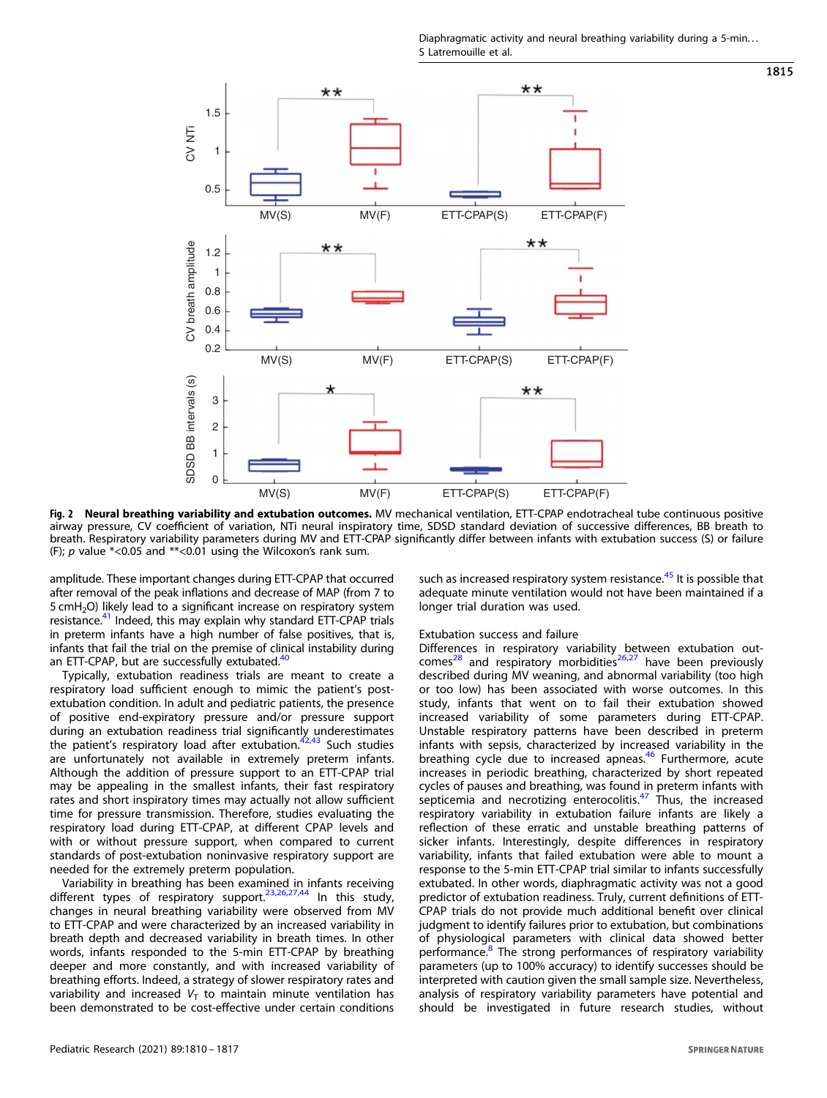Diaphragmatic activity and neural breathing variability during a 5-min. . . S Latremouille et al.

1815

<span id="page-5-0"></span>

Fig. 2 Neural breathing variability and extubation outcomes. MV mechanical ventilation, ETT-CPAP endotracheal tube continuous positive airway pressure, CV coefficient of variation, NTi neural inspiratory time, SDSD standard deviation of successive differences, BB breath to breath. Respiratory variability parameters during MV and ETT-CPAP significantly differ between infants with extubation success (S) or failure (F); p value  $*$ <0.05 and  $**$ <0.01 using the Wilcoxon's rank sum.

amplitude. These important changes during ETT-CPAP that occurred after removal of the peak inflations and decrease of MAP (from 7 to 5 cmH2O) likely lead to a significant increase on respiratory system resistance.[41](#page-7-0) Indeed, this may explain why standard ETT-CPAP trials in preterm infants have a high number of false positives, that is, infants that fail the trial on the premise of clinical instability during an ETT-CPAP, but are successfully extubated.<sup>[40](#page-7-0)</sup>

Typically, extubation readiness trials are meant to create a respiratory load sufficient enough to mimic the patient's postextubation condition. In adult and pediatric patients, the presence of positive end-expiratory pressure and/or pressure support during an extubation readiness trial significantly underestimates the patient's respiratory load after extubation.<sup>[42,43](#page-7-0)</sup> Such studies are unfortunately not available in extremely preterm infants. Although the addition of pressure support to an ETT-CPAP trial may be appealing in the smallest infants, their fast respiratory rates and short inspiratory times may actually not allow sufficient time for pressure transmission. Therefore, studies evaluating the respiratory load during ETT-CPAP, at different CPAP levels and with or without pressure support, when compared to current standards of post-extubation noninvasive respiratory support are needed for the extremely preterm population.

Variability in breathing has been examined in infants receiving different types of respiratory support.<sup>[23,26](#page-6-0),[27](#page-6-0),[44](#page-7-0)</sup> In this study, changes in neural breathing variability were observed from MV to ETT-CPAP and were characterized by an increased variability in breath depth and decreased variability in breath times. In other words, infants responded to the 5-min ETT-CPAP by breathing deeper and more constantly, and with increased variability of breathing efforts. Indeed, a strategy of slower respiratory rates and variability and increased  $V<sub>T</sub>$  to maintain minute ventilation has been demonstrated to be cost-effective under certain conditions such as increased respiratory system resistance.<sup>[45](#page-7-0)</sup> It is possible that adequate minute ventilation would not have been maintained if a longer trial duration was used.

#### Extubation success and failure

Differences in respiratory variability between extubation out-comes<sup>[28](#page-6-0)</sup> and respiratory morbidities<sup>[26,27](#page-6-0)</sup> have been previously described during MV weaning, and abnormal variability (too high or too low) has been associated with worse outcomes. In this study, infants that went on to fail their extubation showed increased variability of some parameters during ETT-CPAP. Unstable respiratory patterns have been described in preterm infants with sepsis, characterized by increased variability in the breathing cycle due to increased apneas.<sup>[46](#page-7-0)</sup> Furthermore, acute increases in periodic breathing, characterized by short repeated cycles of pauses and breathing, was found in preterm infants with septicemia and necrotizing enterocolitis.<sup>[47](#page-7-0)</sup> Thus, the increased respiratory variability in extubation failure infants are likely a reflection of these erratic and unstable breathing patterns of sicker infants. Interestingly, despite differences in respiratory variability, infants that failed extubation were able to mount a response to the 5-min ETT-CPAP trial similar to infants successfully extubated. In other words, diaphragmatic activity was not a good predictor of extubation readiness. Truly, current definitions of ETT-CPAP trials do not provide much additional benefit over clinical judgment to identify failures prior to extubation, but combinations of physiological parameters with clinical data showed better performance.<sup>[8](#page-6-0)</sup> The strong performances of respiratory variability parameters (up to 100% accuracy) to identify successes should be interpreted with caution given the small sample size. Nevertheless, analysis of respiratory variability parameters have potential and should be investigated in future research studies, without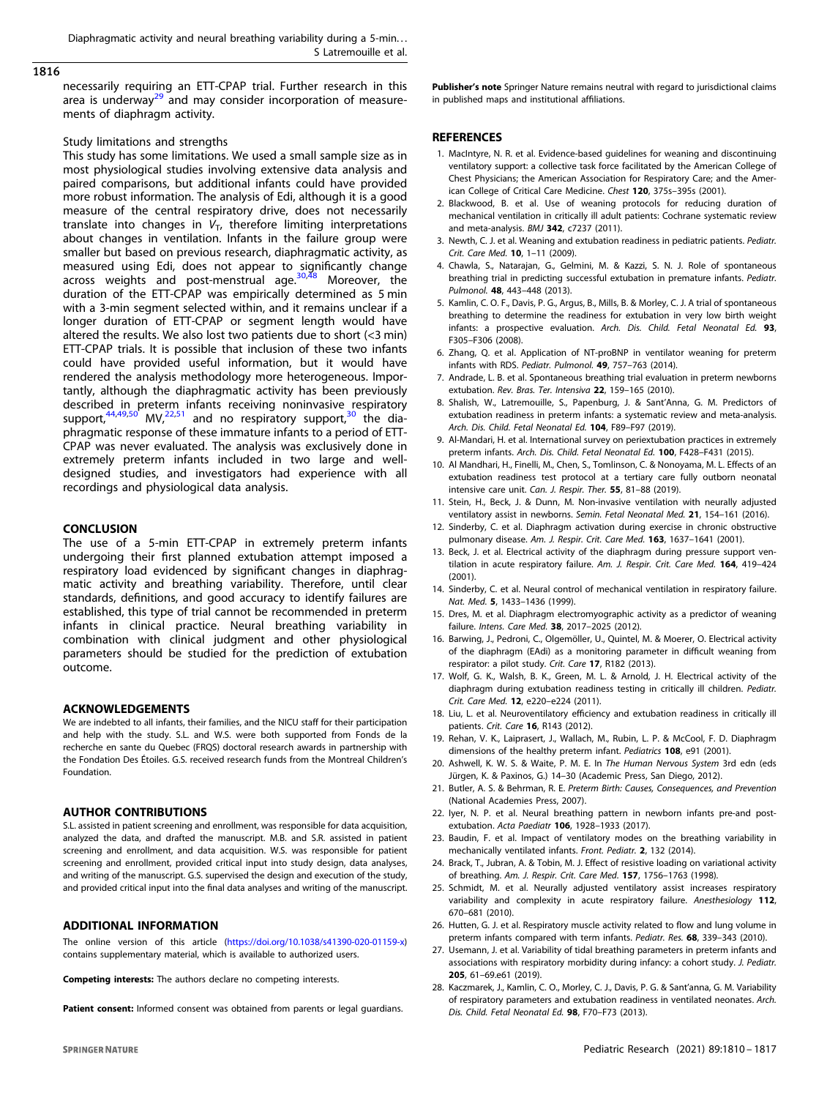# <span id="page-6-0"></span>1816

necessarily requiring an ETT-CPAP trial. Further research in this area is underway<sup>[29](#page-7-0)</sup> and may consider incorporation of measurements of diaphragm activity.

### Study limitations and strengths

This study has some limitations. We used a small sample size as in most physiological studies involving extensive data analysis and paired comparisons, but additional infants could have provided more robust information. The analysis of Edi, although it is a good measure of the central respiratory drive, does not necessarily translate into changes in  $V_T$ , therefore limiting interpretations about changes in ventilation. Infants in the failure group were smaller but based on previous research, diaphragmatic activity, as measured using Edi, does not appear to significantly change across weights and post-menstrual age.<sup>[30](#page-7-0),[48](#page-7-0)</sup> Moreover, the duration of the ETT-CPAP was empirically determined as 5 min with a 3-min segment selected within, and it remains unclear if a longer duration of ETT-CPAP or segment length would have altered the results. We also lost two patients due to short (<3 min) ETT-CPAP trials. It is possible that inclusion of these two infants could have provided useful information, but it would have rendered the analysis methodology more heterogeneous. Importantly, although the diaphragmatic activity has been previously described in preterm infants receiving noninvasive respiratory support, $44,49,50$  $44,49,50$  $44,49,50$  MV, $22,51$  $22,51$  and no respiratory support, $30$  the diaphragmatic response of these immature infants to a period of ETT-CPAP was never evaluated. The analysis was exclusively done in extremely preterm infants included in two large and welldesigned studies, and investigators had experience with all recordings and physiological data analysis.

# **CONCLUSION**

The use of a 5-min ETT-CPAP in extremely preterm infants undergoing their first planned extubation attempt imposed a respiratory load evidenced by significant changes in diaphragmatic activity and breathing variability. Therefore, until clear standards, definitions, and good accuracy to identify failures are established, this type of trial cannot be recommended in preterm infants in clinical practice. Neural breathing variability in combination with clinical judgment and other physiological parameters should be studied for the prediction of extubation outcome.

#### ACKNOWLEDGEMENTS

We are indebted to all infants, their families, and the NICU staff for their participation and help with the study. S.L. and W.S. were both supported from Fonds de la recherche en sante du Quebec (FRQS) doctoral research awards in partnership with the Fondation Des Étoiles. G.S. received research funds from the Montreal Children's Foundation.

### AUTHOR CONTRIBUTIONS

S.L. assisted in patient screening and enrollment, was responsible for data acquisition, analyzed the data, and drafted the manuscript. M.B. and S.R. assisted in patient screening and enrollment, and data acquisition. W.S. was responsible for patient screening and enrollment, provided critical input into study design, data analyses, and writing of the manuscript. G.S. supervised the design and execution of the study, and provided critical input into the final data analyses and writing of the manuscript.

### ADDITIONAL INFORMATION

The online version of this article (<https://doi.org/10.1038/s41390-020-01159-x>) contains supplementary material, which is available to authorized users.

Competing interests: The authors declare no competing interests.

Patient consent: Informed consent was obtained from parents or legal guardians.

Publisher's note Springer Nature remains neutral with regard to jurisdictional claims in published maps and institutional affiliations.

#### **REFERENCES**

- 1. MacIntyre, N. R. et al. Evidence-based guidelines for weaning and discontinuing ventilatory support: a collective task force facilitated by the American College of Chest Physicians; the American Association for Respiratory Care; and the American College of Critical Care Medicine. Chest 120, 375s–395s (2001).
- 2. Blackwood, B. et al. Use of weaning protocols for reducing duration of mechanical ventilation in critically ill adult patients: Cochrane systematic review and meta-analysis. BMJ 342, c7237 (2011).
- 3. Newth, C. J. et al. Weaning and extubation readiness in pediatric patients. Pediatr. Crit. Care Med. 10, 1–11 (2009).
- 4. Chawla, S., Natarajan, G., Gelmini, M. & Kazzi, S. N. J. Role of spontaneous breathing trial in predicting successful extubation in premature infants. Pediatr. Pulmonol. 48, 443–448 (2013).
- 5. Kamlin, C. O. F., Davis, P. G., Argus, B., Mills, B. & Morley, C. J. A trial of spontaneous breathing to determine the readiness for extubation in very low birth weight infants: a prospective evaluation. Arch. Dis. Child. Fetal Neonatal Ed. 93, F305–F306 (2008).
- 6. Zhang, Q. et al. Application of NT‐proBNP in ventilator weaning for preterm infants with RDS. Pediatr. Pulmonol. 49, 757–763 (2014).
- 7. Andrade, L. B. et al. Spontaneous breathing trial evaluation in preterm newborns extubation. Rev. Bras. Ter. Intensiva 22, 159–165 (2010).
- 8. Shalish, W., Latremouille, S., Papenburg, J. & Sant'Anna, G. M. Predictors of extubation readiness in preterm infants: a systematic review and meta-analysis. Arch. Dis. Child. Fetal Neonatal Ed. 104, F89–F97 (2019).
- 9. Al-Mandari, H. et al. International survey on periextubation practices in extremely preterm infants. Arch. Dis. Child. Fetal Neonatal Ed. 100, F428-F431 (2015).
- 10. Al Mandhari, H., Finelli, M., Chen, S., Tomlinson, C. & Nonoyama, M. L. Effects of an extubation readiness test protocol at a tertiary care fully outborn neonatal intensive care unit. Can. J. Respir. Ther. 55, 81-88 (2019).
- 11. Stein, H., Beck, J. & Dunn, M. Non-invasive ventilation with neurally adjusted ventilatory assist in newborns. Semin. Fetal Neonatal Med. 21, 154–161 (2016).
- 12. Sinderby, C. et al. Diaphragm activation during exercise in chronic obstructive pulmonary disease. Am. J. Respir. Crit. Care Med. 163, 1637-1641 (2001).
- 13. Beck, J. et al. Electrical activity of the diaphragm during pressure support ventilation in acute respiratory failure. Am. J. Respir. Crit. Care Med. 164, 419-424 (2001).
- 14. Sinderby, C. et al. Neural control of mechanical ventilation in respiratory failure. Nat. Med. 5, 1433–1436 (1999).
- 15. Dres, M. et al. Diaphragm electromyographic activity as a predictor of weaning failure. Intens. Care Med. 38, 2017–2025 (2012).
- 16. Barwing, J., Pedroni, C., Olgemöller, U., Quintel, M. & Moerer, O. Electrical activity of the diaphragm (EAdi) as a monitoring parameter in difficult weaning from respirator: a pilot study. Crit. Care 17, R182 (2013).
- 17. Wolf, G. K., Walsh, B. K., Green, M. L. & Arnold, J. H. Electrical activity of the diaphragm during extubation readiness testing in critically ill children. Pediatr. Crit. Care Med. 12, e220–e224 (2011).
- 18. Liu, L. et al. Neuroventilatory efficiency and extubation readiness in critically ill patients. Crit. Care 16, R143 (2012).
- 19. Rehan, V. K., Laiprasert, J., Wallach, M., Rubin, L. P. & McCool, F. D. Diaphragm dimensions of the healthy preterm infant. Pediatrics 108, e91 (2001).
- 20. Ashwell, K. W. S. & Waite, P. M. E. In The Human Nervous System 3rd edn (eds Jürgen, K. & Paxinos, G.) 14–30 (Academic Press, San Diego, 2012).
- 21. Butler, A. S. & Behrman, R. E. Preterm Birth: Causes, Consequences, and Prevention (National Academies Press, 2007).
- 22. Iyer, N. P. et al. Neural breathing pattern in newborn infants pre-and postextubation. Acta Paediatr 106, 1928–1933 (2017).
- 23. Baudin, F. et al. Impact of ventilatory modes on the breathing variability in mechanically ventilated infants. Front. Pediatr. 2, 132 (2014).
- 24. Brack, T., Jubran, A. & Tobin, M. J. Effect of resistive loading on variational activity of breathing. Am. J. Respir. Crit. Care Med. 157, 1756–1763 (1998).
- 25. Schmidt, M. et al. Neurally adjusted ventilatory assist increases respiratory variability and complexity in acute respiratory failure. Anesthesiology 112, 670–681 (2010).
- 26. Hutten, G. J. et al. Respiratory muscle activity related to flow and lung volume in preterm infants compared with term infants. Pediatr. Res. 68, 339–343 (2010).
- 27. Usemann, J. et al. Variability of tidal breathing parameters in preterm infants and associations with respiratory morbidity during infancy: a cohort study. J. Pediatr. 205, 61–69.e61 (2019).
- 28. Kaczmarek, J., Kamlin, C. O., Morley, C. J., Davis, P. G. & Sant'anna, G. M. Variability of respiratory parameters and extubation readiness in ventilated neonates. Arch. Dis. Child. Fetal Neonatal Ed. 98, F70–F73 (2013).